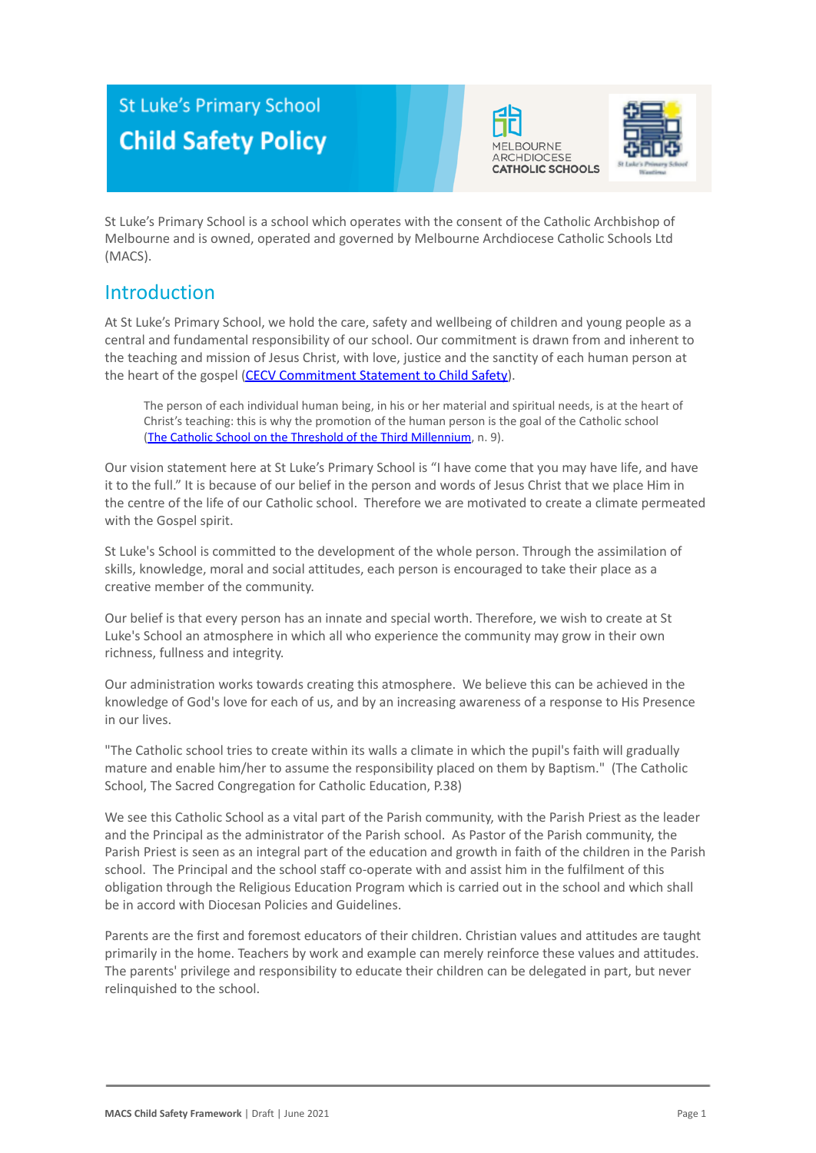# **St Luke's Primary School Child Safety Policy**





St Luke's Primary School is a school which operates with the consent of the Catholic Archbishop of Melbourne and is owned, operated and governed by Melbourne Archdiocese Catholic Schools Ltd (MACS).

## Introduction

At St Luke's Primary School, we hold the care, safety and wellbeing of children and young people as a central and fundamental responsibility of our school. Our commitment is drawn from and inherent to the teaching and mission of Jesus Christ, with love, justice and the sanctity of each human person at the heart of the gospel [\(CECV Commitment Statement](https://www.cecv.catholic.edu.au/getmedia/b5d43278-51b9-4704-b45a-f14e50546a70/Commitment-Statement-A4.aspx) to Child Safety).

The person of each individual human being, in his or her material and spiritual needs, is at the heart of Christ's teaching: this is why the promotion of the human person is the goal of the Catholic school (The Catholic School on the Threshold of the Third [Millennium](http://www.vatican.va/roman_curia/congregations/ccatheduc/documents/rc_con_ccatheduc_doc_27041998_school2000_en.html), n. 9).

Our vision statement here at St Luke's Primary School is "I have come that you may have life, and have it to the full." It is because of our belief in the person and words of Jesus Christ that we place Him in the centre of the life of our Catholic school. Therefore we are motivated to create a climate permeated with the Gospel spirit.

St Luke's School is committed to the development of the whole person. Through the assimilation of skills, knowledge, moral and social attitudes, each person is encouraged to take their place as a creative member of the community.

Our belief is that every person has an innate and special worth. Therefore, we wish to create at St Luke's School an atmosphere in which all who experience the community may grow in their own richness, fullness and integrity.

Our administration works towards creating this atmosphere. We believe this can be achieved in the knowledge of God's love for each of us, and by an increasing awareness of a response to His Presence in our lives.

"The Catholic school tries to create within its walls a climate in which the pupil's faith will gradually mature and enable him/her to assume the responsibility placed on them by Baptism." (The Catholic School, The Sacred Congregation for Catholic Education, P.38)

We see this Catholic School as a vital part of the Parish community, with the Parish Priest as the leader and the Principal as the administrator of the Parish school. As Pastor of the Parish community, the Parish Priest is seen as an integral part of the education and growth in faith of the children in the Parish school. The Principal and the school staff co-operate with and assist him in the fulfilment of this obligation through the Religious Education Program which is carried out in the school and which shall be in accord with Diocesan Policies and Guidelines.

Parents are the first and foremost educators of their children. Christian values and attitudes are taught primarily in the home. Teachers by work and example can merely reinforce these values and attitudes. The parents' privilege and responsibility to educate their children can be delegated in part, but never relinquished to the school.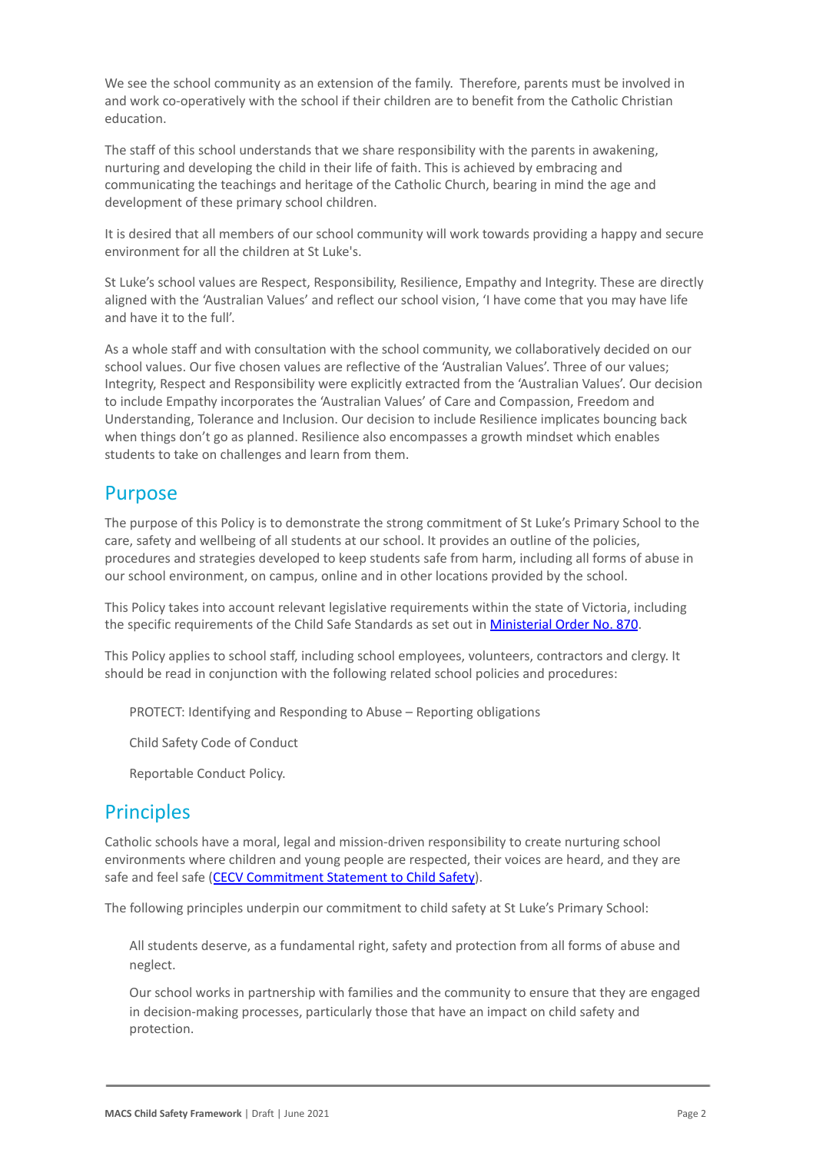We see the school community as an extension of the family. Therefore, parents must be involved in and work co-operatively with the school if their children are to benefit from the Catholic Christian education.

The staff of this school understands that we share responsibility with the parents in awakening, nurturing and developing the child in their life of faith. This is achieved by embracing and communicating the teachings and heritage of the Catholic Church, bearing in mind the age and development of these primary school children.

It is desired that all members of our school community will work towards providing a happy and secure environment for all the children at St Luke's.

St Luke's school values are Respect, Responsibility, Resilience, Empathy and Integrity. These are directly aligned with the 'Australian Values' and reflect our school vision, 'I have come that you may have life and have it to the full'.

As a whole staff and with consultation with the school community, we collaboratively decided on our school values. Our five chosen values are reflective of the 'Australian Values'. Three of our values; Integrity, Respect and Responsibility were explicitly extracted from the 'Australian Values'. Our decision to include Empathy incorporates the 'Australian Values' of Care and Compassion, Freedom and Understanding, Tolerance and Inclusion. Our decision to include Resilience implicates bouncing back when things don't go as planned. Resilience also encompasses a growth mindset which enables students to take on challenges and learn from them.

## Purpose

The purpose of this Policy is to demonstrate the strong commitment of St Luke's Primary School to the care, safety and wellbeing of all students at our school. It provides an outline of the policies, procedures and strategies developed to keep students safe from harm, including all forms of abuse in our school environment, on campus, online and in other locations provided by the school.

This Policy takes into account relevant legislative requirements within the state of Victoria, including the specific requirements of the Child Safe Standards as set out in [Ministerial Order No. 870](http://www.gazette.vic.gov.au/gazette/Gazettes2016/GG2016S002.pdf).

This Policy applies to school staff, including school employees, volunteers, contractors and clergy. It should be read in conjunction with the following related school policies and procedures:

PROTECT: Identifying and Responding to Abuse – Reporting obligations

2. Child Safety Code of Conduct

Reportable Conduct Policy.

### **Principles**

Catholic schools have a moral, legal and mission-driven responsibility to create nurturing school environments where children and young people are respected, their voices are heard, and they are safe and feel safe ([CECV Commitment Statement to Child](https://www.cecv.catholic.edu.au/getmedia/b5d43278-51b9-4704-b45a-f14e50546a70/Commitment-Statement-A4.aspx) Safety).

The following principles underpin our commitment to child safety at St Luke's Primary School:

All students deserve, as a fundamental right, safety and protection from all forms of abuse and neglect.

Our school works in partnership with families and the community to ensure that they are engaged in decision-making processes, particularly those that have an impact on child safety and protection.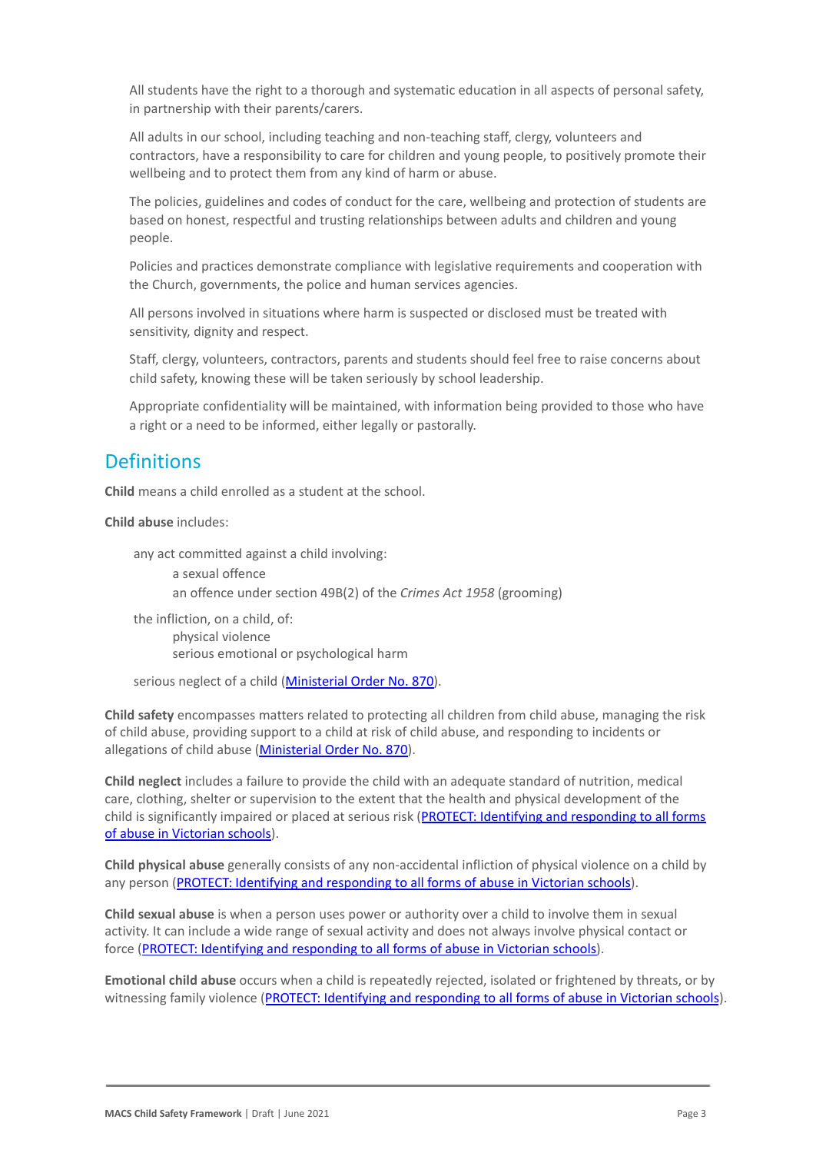All students have the right to a thorough and systematic education in all aspects of personal safety, in partnership with their parents/carers.

All adults in our school, including teaching and non-teaching staff, clergy, volunteers and contractors, have a responsibility to care for children and young people, to positively promote their wellbeing and to protect them from any kind of harm or abuse.

The policies, guidelines and codes of conduct for the care, wellbeing and protection of students are based on honest, respectful and trusting relationships between adults and children and young people.

Policies and practices demonstrate compliance with legislative requirements and cooperation with the Church, governments, the police and human services agencies.

All persons involved in situations where harm is suspected or disclosed must be treated with sensitivity, dignity and respect.

Staff, clergy, volunteers, contractors, parents and students should feel free to raise concerns about child safety, knowing these will be taken seriously by school leadership.

Appropriate confidentiality will be maintained, with information being provided to those who have a right or a need to be informed, either legally or pastorally.

### **Definitions**

**Child** means a child enrolled as a student at the school.

**Child abuse** includes:

any act committed against a child involving: a sexual offence an offence under section 49B(2) of the *Crimes Act* 1958 (grooming)

the infliction, on a child, of: physical violence serious emotional or psychological harm

serious neglect of a child ([Ministerial Order No.](http://www.gazette.vic.gov.au/gazette/Gazettes2016/GG2016S002.pdf) 870).

**Child safety** encompasses matters related to protecting all children from child abuse, managing the risk of child abuse, providing support to a child at risk of child abuse, and responding to incidents or allegations of child abuse [\(Ministerial Order No.](http://www.gazette.vic.gov.au/gazette/Gazettes2016/GG2016S002.pdf) 870).

**Child neglect** includes a failure to provide the child with an adequate standard of nutrition, medical care, clothing, shelter or supervision to the extent that the health and physical development of the child is significantly impaired or placed at serious risk ([PROTECT: Identifying and responding to all](http://www.cecv.catholic.edu.au/getmedia/ebe135a4-d1b3-48a0-81fe-50d4fc451bcd/Identifying-and-Responding-to-All-Forms-of-Abuse.aspx#page%3D27) forms [of abuse in Victorian schools](http://www.cecv.catholic.edu.au/getmedia/ebe135a4-d1b3-48a0-81fe-50d4fc451bcd/Identifying-and-Responding-to-All-Forms-of-Abuse.aspx#page%3D27)).

**Child physical abuse** generally consists of any non-accidental infliction of physical violence on a child by any person ([PROTECT: Identifying and responding to](https://www.cecv.catholic.edu.au/getmedia/ebe135a4-d1b3-48a0-81fe-50d4fc451bcd/Identifying-and-Responding-to-All-Forms-of-Abuse.aspx#page%3D15) all forms of abuse in Victorian schools).

**Child sexual abuse** is when a person uses power or authority over a child to involve them in sexual activity. It can include a wide range of sexual activity and does not always involve physical contact or force ([PROTECT: Identifying and responding to all](https://www.cecv.catholic.edu.au/getmedia/ebe135a4-d1b3-48a0-81fe-50d4fc451bcd/Identifying-and-Responding-to-All-Forms-of-Abuse.aspx#page%3D17) forms of abuse in Victorian schools).

**Emotional child abuse** occurs when a child is repeatedly rejected, isolated or frightened by threats, or by witnessing family violence (PROTECT: Identifying and [responding to all forms of abuse in Victorian schools](https://www.cecv.catholic.edu.au/getmedia/ebe135a4-d1b3-48a0-81fe-50d4fc451bcd/Identifying-and-Responding-to-All-Forms-of-Abuse.aspx#page%3D26)).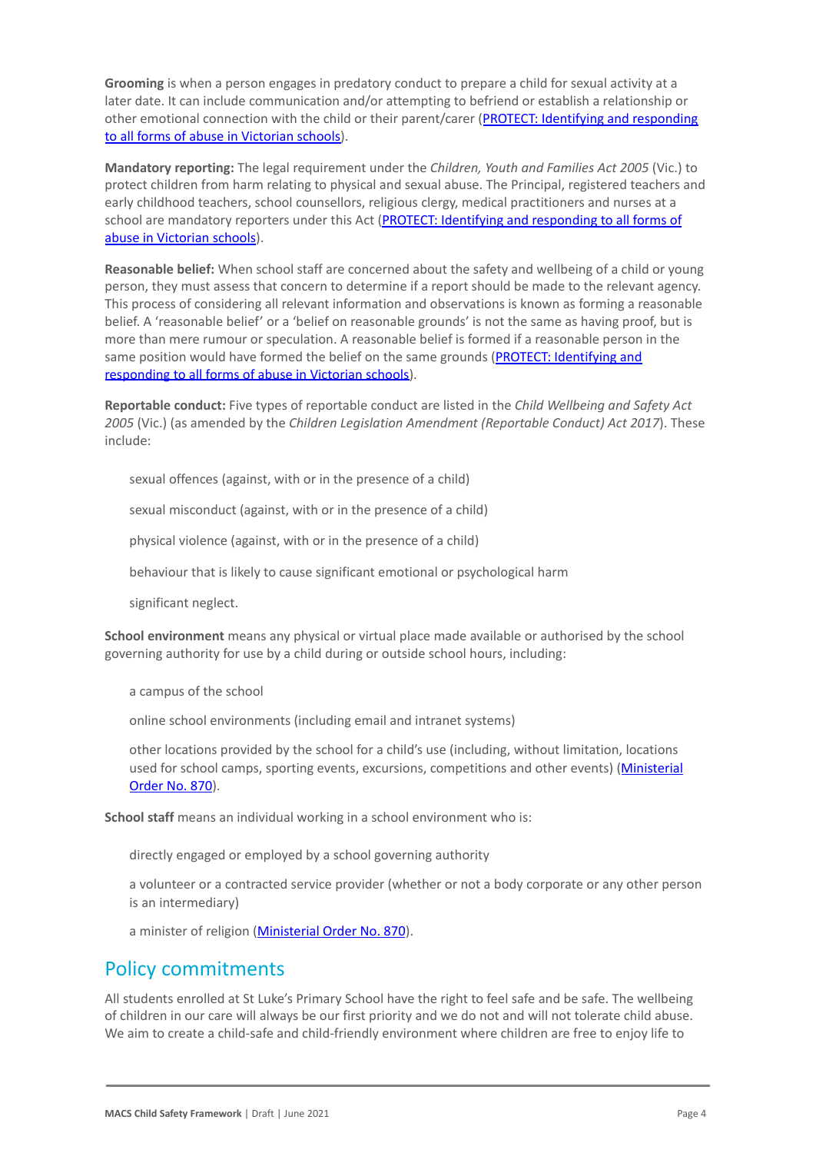**Grooming** is when a person engages in predatory conduct to prepare a child for sexual activity at a later date. It can include communication and/or attempting to befriend or establish a relationship or other emotional connection with the child or their parent/carer ([PROTECT: Identifying and responding](https://www.cecv.catholic.edu.au/getmedia/ebe135a4-d1b3-48a0-81fe-50d4fc451bcd/Identifying-and-Responding-to-All-Forms-of-Abuse.aspx#page%3D20) [to all forms of abuse in Victorian schools\)](https://www.cecv.catholic.edu.au/getmedia/ebe135a4-d1b3-48a0-81fe-50d4fc451bcd/Identifying-and-Responding-to-All-Forms-of-Abuse.aspx#page%3D20).

**Mandatory reporting:** The legal requirement under the *Children, Youth and Families Act 2005* (Vic.) to protect children from harm relating to physical and sexual abuse. The Principal, registered teachers and early childhood teachers, school counsellors, religious clergy, medical practitioners and nurses at a school are mandatory reporters under this Act (PROTECT: [Identifying and responding to all forms of](http://www.cecv.catholic.edu.au/getmedia/ebe135a4-d1b3-48a0-81fe-50d4fc451bcd/Identifying-and-Responding-to-All-Forms-of-Abuse.aspx#page%3D8) [abuse in Victorian schools](http://www.cecv.catholic.edu.au/getmedia/ebe135a4-d1b3-48a0-81fe-50d4fc451bcd/Identifying-and-Responding-to-All-Forms-of-Abuse.aspx#page%3D8)).

**Reasonable belief:** When school staff are concerned about the safety and wellbeing of a child or young person, they must assess that concern to determine if a report should be made to the relevant agency. This process of considering all relevant information and observations is known as forming a reasonable belief. A 'reasonable belief' or a 'belief on reasonable grounds' is not the same as having proof, but is more than mere rumour or speculation. A reasonable belief is formed if a reasonable person in the same position would have formed the belief on the same grounds ([PROTECT: Identifying and](http://www.cecv.catholic.edu.au/getmedia/ebe135a4-d1b3-48a0-81fe-50d4fc451bcd/Identifying-and-Responding-to-All-Forms-of-Abuse.aspx#page%3D35) [responding to all forms of abuse in Victorian schools\)](http://www.cecv.catholic.edu.au/getmedia/ebe135a4-d1b3-48a0-81fe-50d4fc451bcd/Identifying-and-Responding-to-All-Forms-of-Abuse.aspx#page%3D35).

**Reportable conduct:** Five types of reportable conduct are listed in the *Child Wellbeing and Safety Act 2005* (Vic.) (as amended by the *Children Legislation Amendment (Reportable Conduct) Act 2017*). These include:

sexual offences (against, with or in the presence of a child)

sexual misconduct (against, with or in the presence of a child)

physical violence (against, with or in the presence of a child)

behaviour that is likely to cause significant emotional or psychological harm

significant neglect.

**School environment** means any physical or virtual place made available or authorised by the school governing authority for use by a child during or outside school hours, including:

a campus of the school

online school environments (including email and intranet systems)

other locations provided by the school for a child's use (including, without limitation, locations used for school camps, sporting events, excursions, competitions and other events) ([Ministerial](http://www.gazette.vic.gov.au/gazette/Gazettes2016/GG2016S002.pdf) [Order No. 870](http://www.gazette.vic.gov.au/gazette/Gazettes2016/GG2016S002.pdf)).

**School staff** means an individual working in a school environment who is:

directly engaged or employed by a school governing authority

a volunteer or a contracted service provider (whether or not a body corporate or any other person is an intermediary)

a minister of religion [\(Ministerial Order No. 870](http://www.gazette.vic.gov.au/gazette/Gazettes2016/GG2016S002.pdf)).

### Policy commitments

All students enrolled at St Luke's Primary School have the right to feel safe and be safe. The wellbeing of children in our care will always be our first priority and we do not and will not tolerate child abuse. We aim to create a child-safe and child-friendly environment where children are free to enjoy life to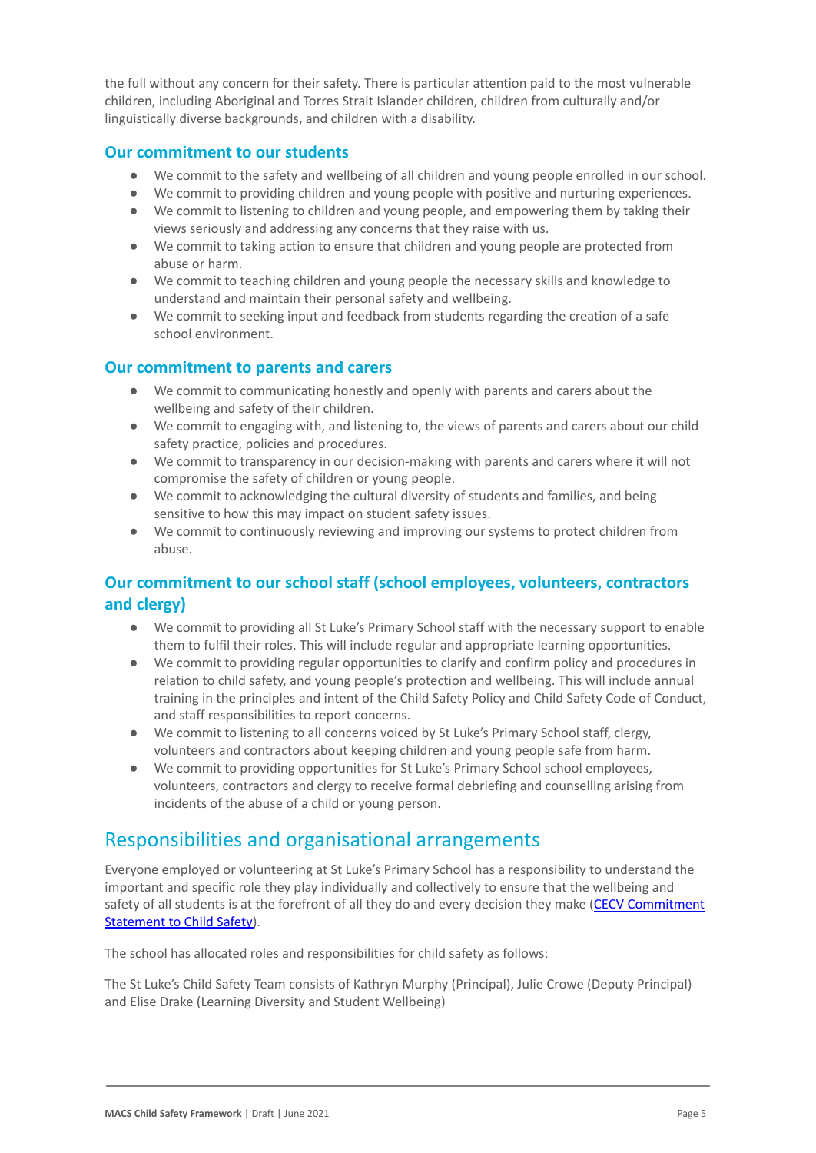the full without any concern for their safety. There is particular attention paid to the most vulnerable children, including Aboriginal and Torres Strait Islander children, children from culturally and/or linguistically diverse backgrounds, and children with a disability.

#### **Our commitment to our students**

- We commit to the safety and wellbeing of all children and young people enrolled in our school.
- We commit to providing children and young people with positive and nurturing experiences.
- We commit to listening to children and young people, and empowering them by taking their views seriously and addressing any concerns that they raise with us.
- We commit to taking action to ensure that children and young people are protected from abuse or harm.
- We commit to teaching children and young people the necessary skills and knowledge to understand and maintain their personal safety and wellbeing.
- We commit to seeking input and feedback from students regarding the creation of a safe school environment.

#### **Our commitment to parents and carers**

- We commit to communicating honestly and openly with parents and carers about the wellbeing and safety of their children.
- We commit to engaging with, and listening to, the views of parents and carers about our child safety practice, policies and procedures.
- We commit to transparency in our decision-making with parents and carers where it will not compromise the safety of children or young people.
- We commit to acknowledging the cultural diversity of students and families, and being sensitive to how this may impact on student safety issues.
- We commit to continuously reviewing and improving our systems to protect children from abuse.

### **Our commitment to our school staff (school employees, volunteers, contractors and clergy)**

- We commit to providing all St Luke's Primary School staff with the necessary support to enable them to fulfil their roles. This will include regular and appropriate learning opportunities.
- We commit to providing regular opportunities to clarify and confirm policy and procedures in relation to child safety, and young people's protection and wellbeing. This will include annual training in the principles and intent of the Child Safety Policy and Child Safety Code of Conduct, and staff responsibilities to report concerns.
- We commit to listening to all concerns voiced by St Luke's Primary School staff, clergy, volunteers and contractors about keeping children and young people safe from harm.
- We commit to providing opportunities for St Luke's Primary School school employees, volunteers, contractors and clergy to receive formal debriefing and counselling arising from incidents of the abuse of a child or young person.

## Responsibilities and organisational arrangements

Everyone employed or volunteering at St Luke's Primary School has a responsibility to understand the important and specific role they play individually and collectively to ensure that the wellbeing and safety of all students is at the forefront of all they do and every decision they make ([CECV Commitment](https://www.cecv.catholic.edu.au/getmedia/b5d43278-51b9-4704-b45a-f14e50546a70/Commitment-Statement-A4.aspx) [Statement to Child Safety\)](https://www.cecv.catholic.edu.au/getmedia/b5d43278-51b9-4704-b45a-f14e50546a70/Commitment-Statement-A4.aspx).

The school has allocated roles and responsibilities for child safety as follows:

The St Luke's Child Safety Team consists of Kathryn Murphy (Principal), Julie Crowe (Deputy Principal) and Elise Drake (Learning Diversity and Student Wellbeing)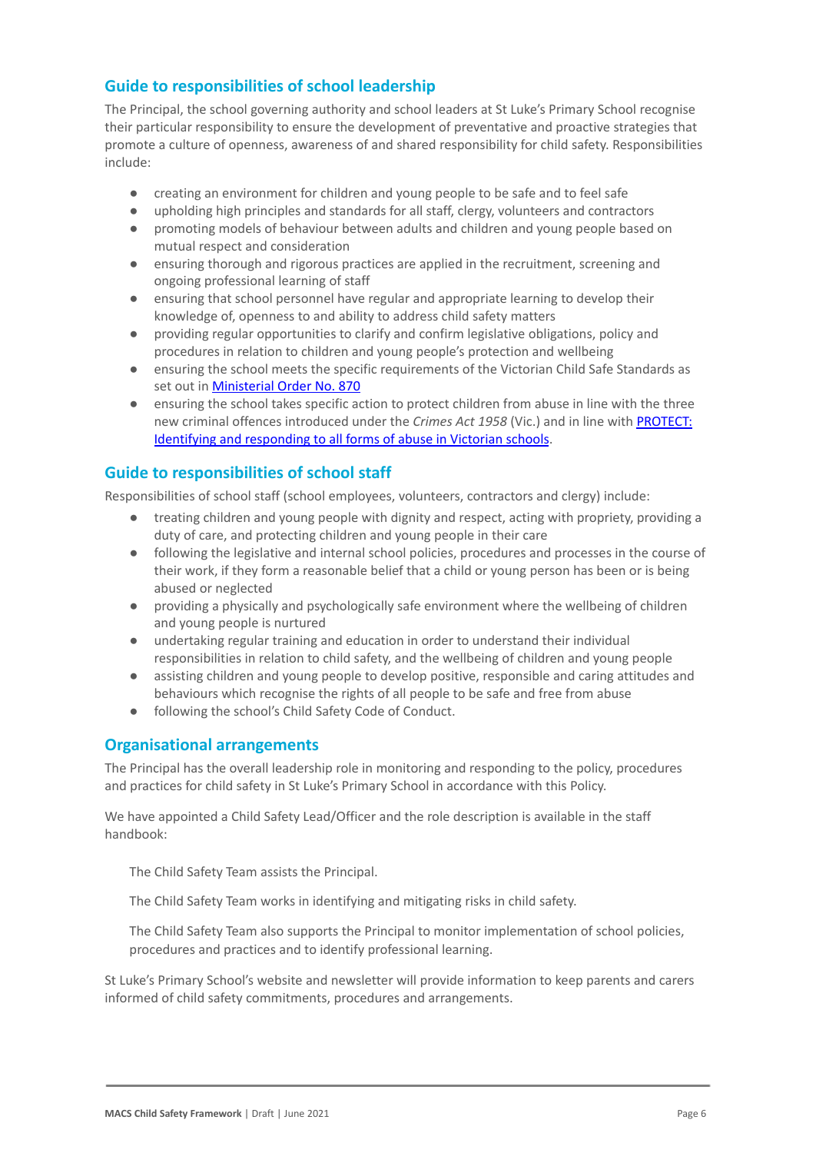### **Guide to responsibilities of school leadership**

The Principal, the school governing authority and school leaders at St Luke's Primary School recognise their particular responsibility to ensure the development of preventative and proactive strategies that promote a culture of openness, awareness of and shared responsibility for child safety. Responsibilities include:

- creating an environment for children and young people to be safe and to feel safe
- upholding high principles and standards for all staff, clergy, volunteers and contractors
- promoting models of behaviour between adults and children and young people based on mutual respect and consideration
- ensuring thorough and rigorous practices are applied in the recruitment, screening and ongoing professional learning of staff
- ensuring that school personnel have regular and appropriate learning to develop their knowledge of, openness to and ability to address child safety matters
- providing regular opportunities to clarify and confirm legislative obligations, policy and procedures in relation to children and young people's protection and wellbeing
- ensuring the school meets the specific requirements of the Victorian Child Safe Standards as set out in [Ministerial Order No. 870](http://www.gazette.vic.gov.au/gazette/Gazettes2016/GG2016S002.pdf)
- ensuring the school takes specific action to protect children from abuse in line with the three new criminal offences introduced under the *Crimes Act 1958* (Vic.) and in line with [PROTECT:](http://www.cecv.catholic.edu.au/getmedia/ebe135a4-d1b3-48a0-81fe-50d4fc451bcd/Identifying-and-Responding-to-All-Forms-of-Abuse.aspx) [Identifying and responding to all forms of abuse in](http://www.cecv.catholic.edu.au/getmedia/ebe135a4-d1b3-48a0-81fe-50d4fc451bcd/Identifying-and-Responding-to-All-Forms-of-Abuse.aspx) Victorian schools.

### **Guide to responsibilities of school staff**

Responsibilities of school staff (school employees, volunteers, contractors and clergy) include:

- treating children and young people with dignity and respect, acting with propriety, providing a duty of care, and protecting children and young people in their care
- following the legislative and internal school policies, procedures and processes in the course of their work, if they form a reasonable belief that a child or young person has been or is being abused or neglected
- providing a physically and psychologically safe environment where the wellbeing of children and young people is nurtured
- undertaking regular training and education in order to understand their individual responsibilities in relation to child safety, and the wellbeing of children and young people
- assisting children and young people to develop positive, responsible and caring attitudes and behaviours which recognise the rights of all people to be safe and free from abuse
- following the school's Child Safety Code of Conduct.

### **Organisational arrangements**

The Principal has the overall leadership role in monitoring and responding to the policy, procedures and practices for child safety in St Luke's Primary School in accordance with this Policy.

We have appointed a Child Safety Lead/Officer and the role description is available in the staff handbook:

The Child Safety Team assists the Principal.

The Child Safety Team works in identifying and mitigating risks in child safety.

The Child Safety Team also supports the Principal to monitor implementation of school policies, procedures and practices and to identify professional learning.

St Luke's Primary School's website and newsletter will provide information to keep parents and carers informed of child safety commitments, procedures and arrangements.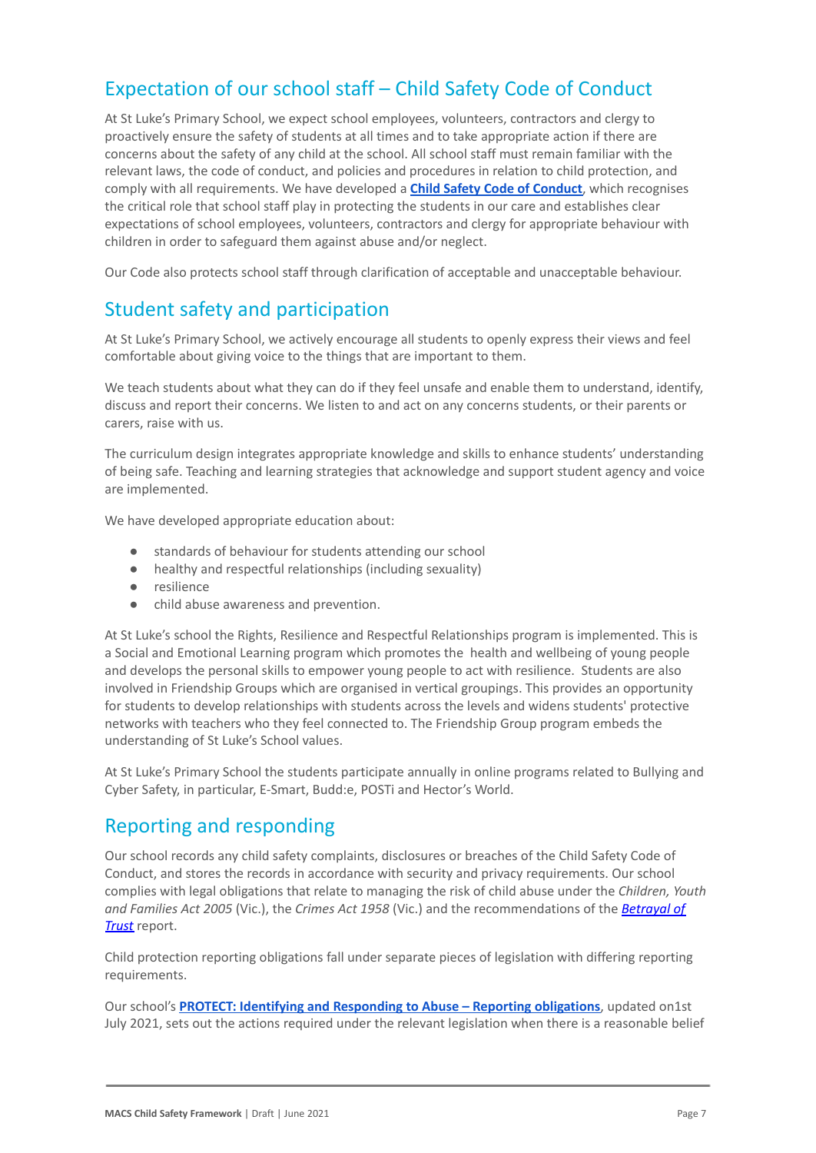## Expectation of our school staff – Child Safety Code of Conduct

At St Luke's Primary School, we expect school employees, volunteers, contractors and clergy to proactively ensure the safety of students at all times and to take appropriate action if there are concerns about the safety of any child at the school. All school staff must remain familiar with the relevant laws, the code of conduct, and policies and procedures in relation to child protection, and comply with all requirements. We have developed a **[Child Safety Code of Conduct](https://drive.google.com/file/d/1R6EbbaE6ZUOwQUiVyzgiDxLsay3v_sme/view?usp=sharing)**, which recognises the critical role that school staff play in protecting the students in our care and establishes clear expectations of school employees, volunteers, contractors and clergy for appropriate behaviour with children in order to safeguard them against abuse and/or neglect.

Our Code also protects school staff through clarification of acceptable and unacceptable behaviour.

## Student safety and participation

At St Luke's Primary School, we actively encourage all students to openly express their views and feel comfortable about giving voice to the things that are important to them.

We teach students about what they can do if they feel unsafe and enable them to understand, identify, discuss and report their concerns. We listen to and act on any concerns students, or their parents or carers, raise with us.

The curriculum design integrates appropriate knowledge and skills to enhance students' understanding of being safe. Teaching and learning strategies that acknowledge and support student agency and voice are implemented.

We have developed appropriate education about:

- standards of behaviour for students attending our school
- healthy and respectful relationships (including sexuality)
- resilience
- child abuse awareness and prevention.

At St Luke's school the Rights, Resilience and Respectful Relationships program is implemented. This is a Social and Emotional Learning program which promotes the health and wellbeing of young people and develops the personal skills to empower young people to act with resilience. Students are also involved in Friendship Groups which are organised in vertical groupings. This provides an opportunity for students to develop relationships with students across the levels and widens students' protective networks with teachers who they feel connected to. The Friendship Group program embeds the understanding of St Luke's School values.

At St Luke's Primary School the students participate annually in online programs related to Bullying and Cyber Safety, in particular, E-Smart, Budd:e, POSTi and Hector's World.

## Reporting and responding

Our school records any child safety complaints, disclosures or breaches of the Child Safety Code of Conduct, and stores the records in accordance with security and privacy requirements. Our school complies with legal obligations that relate to managing the risk of child abuse under the *Children, Youth and Families Act 2005* (Vic.), the *Crimes Act 1958* (Vic.) and the recommendations of the *[Betrayal of](http://www.parliament.vic.gov.au/fcdc/article/1788) [Trust](http://www.parliament.vic.gov.au/fcdc/article/1788)* report.

Child protection reporting obligations fall under separate pieces of legislation with differing reporting requirements.

Our school's **[PROTECT: Identifying and Responding to](https://drive.google.com/file/d/1WTqxn588YBdN8FAofhg7Tmo0T6_JX4qr/view?usp=sharing) Abuse – Reporting obligations**, updated on1st July 2021, sets out the actions required under the relevant legislation when there is a reasonable belief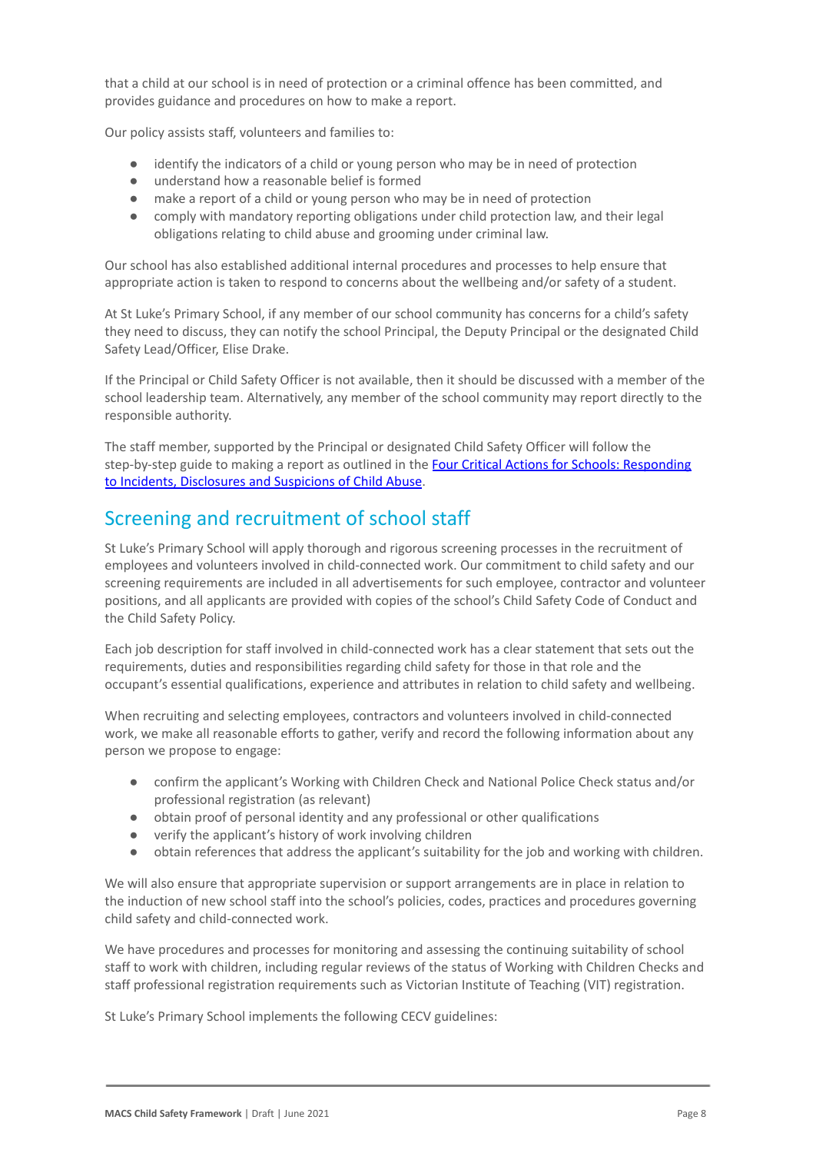that a child at our school is in need of protection or a criminal offence has been committed, and provides guidance and procedures on how to make a report.

Our policy assists staff, volunteers and families to:

- identify the indicators of a child or young person who may be in need of protection
- understand how a reasonable belief is formed
- make a report of a child or young person who may be in need of protection
- comply with mandatory reporting obligations under child protection law, and their legal obligations relating to child abuse and grooming under criminal law.

Our school has also established additional internal procedures and processes to help ensure that appropriate action is taken to respond to concerns about the wellbeing and/or safety of a student.

At St Luke's Primary School, if any member of our school community has concerns for a child's safety they need to discuss, they can notify the school Principal, the Deputy Principal or the designated Child Safety Lead/Officer, Elise Drake.

If the Principal or Child Safety Officer is not available, then it should be discussed with a member of the school leadership team. Alternatively, any member of the school community may report directly to the responsible authority.

The staff member, supported by the Principal or designated Child Safety Officer will follow the step-by-step guide to making a report as outlined in the [Four Critical Actions for Schools: Responding](https://www.education.vic.gov.au/Documents/about/programs/health/protect/FourCriticalActions_ChildAbuse.pdf) [to Incidents, Disclosures and Suspicions of Child](https://www.education.vic.gov.au/Documents/about/programs/health/protect/FourCriticalActions_ChildAbuse.pdf) Abuse.

## Screening and recruitment of school staff

St Luke's Primary School will apply thorough and rigorous screening processes in the recruitment of employees and volunteers involved in child-connected work. Our commitment to child safety and our screening requirements are included in all advertisements for such employee, contractor and volunteer positions, and all applicants are provided with copies of the school's Child Safety Code of Conduct and the Child Safety Policy.

Each job description for staff involved in child-connected work has a clear statement that sets out the requirements, duties and responsibilities regarding child safety for those in that role and the occupant's essential qualifications, experience and attributes in relation to child safety and wellbeing.

When recruiting and selecting employees, contractors and volunteers involved in child-connected work, we make all reasonable efforts to gather, verify and record the following information about any person we propose to engage:

- confirm the applicant's Working with Children Check and National Police Check status and/or professional registration (as relevant)
- obtain proof of personal identity and any professional or other qualifications
- verify the applicant's history of work involving children
- obtain references that address the applicant's suitability for the job and working with children.

We will also ensure that appropriate supervision or support arrangements are in place in relation to the induction of new school staff into the school's policies, codes, practices and procedures governing child safety and child-connected work.

We have procedures and processes for monitoring and assessing the continuing suitability of school staff to work with children, including regular reviews of the status of Working with Children Checks and staff professional registration requirements such as Victorian Institute of Teaching (VIT) registration.

St Luke's Primary School implements the following CECV guidelines: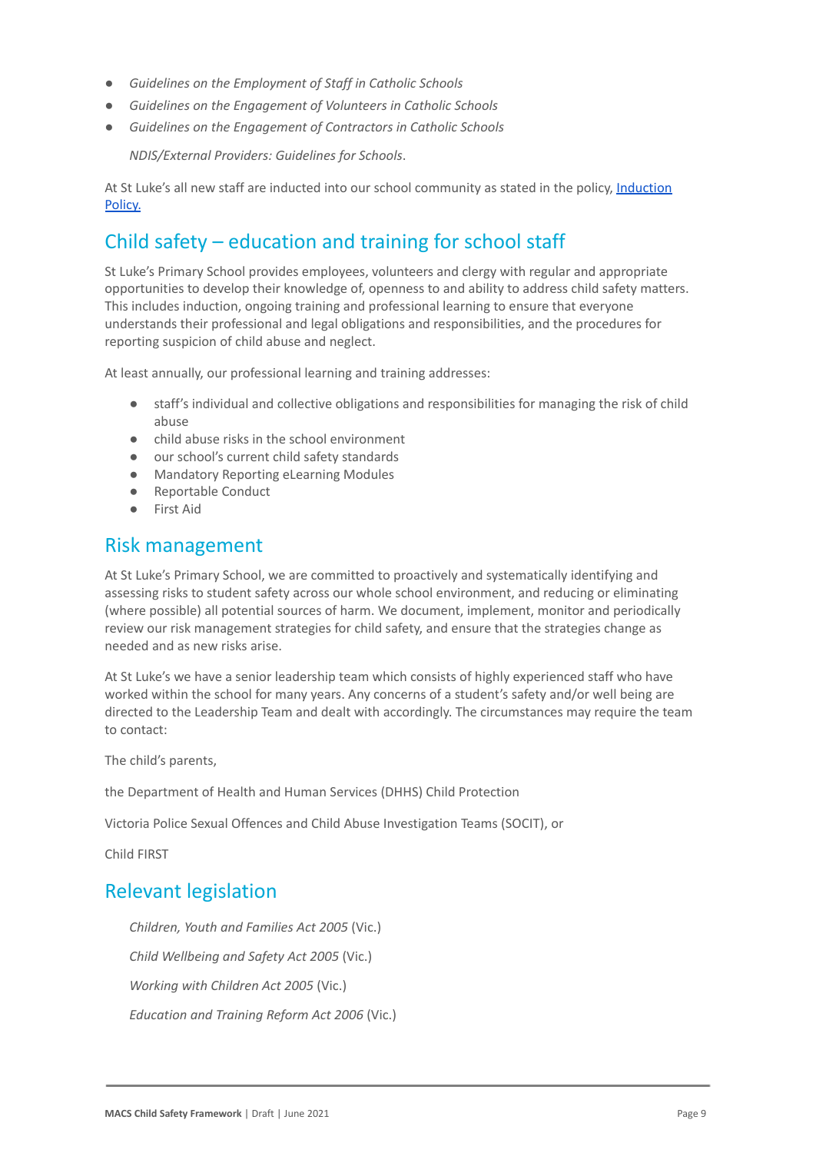- *● Guidelines on the Employment of Staff in Catholic Schools*
- *● Guidelines on the Engagement of Volunteers in Catholic Schools*
- *● Guidelines on the Engagement of Contractors in Catholic Schools*

● *NDIS/External Providers: Guidelines for Schools*.

At St Luke's all new staff are inducted into our school community as stated in the policy, [Induction](https://docs.google.com/document/d/1mxlYfYPdH-JQx7SuWdhMOwtJeLUmzswPlXyPxERjXNE/edit) [Policy.](https://docs.google.com/document/d/1mxlYfYPdH-JQx7SuWdhMOwtJeLUmzswPlXyPxERjXNE/edit)

## Child safety – education and training for school staff

St Luke's Primary School provides employees, volunteers and clergy with regular and appropriate opportunities to develop their knowledge of, openness to and ability to address child safety matters. This includes induction, ongoing training and professional learning to ensure that everyone understands their professional and legal obligations and responsibilities, and the procedures for reporting suspicion of child abuse and neglect.

At least annually, our professional learning and training addresses:

- staff's individual and collective obligations and responsibilities for managing the risk of child abuse
- child abuse risks in the school environment
- our school's current child safety standards
- Mandatory Reporting eLearning Modules
- Reportable Conduct
- First Aid

### Risk management

At St Luke's Primary School, we are committed to proactively and systematically identifying and assessing risks to student safety across our whole school environment, and reducing or eliminating (where possible) all potential sources of harm. We document, implement, monitor and periodically review our risk management strategies for child safety, and ensure that the strategies change as needed and as new risks arise.

At St Luke's we have a senior leadership team which consists of highly experienced staff who have worked within the school for many years. Any concerns of a student's safety and/or well being are directed to the Leadership Team and dealt with accordingly. The circumstances may require the team to contact:

The child's parents,

the Department of Health and Human Services (DHHS) Child Protection

Victoria Police Sexual Offences and Child Abuse Investigation Teams (SOCIT), or

Child FIRST

### Relevant legislation

● *Children, Youth and Families Act 2005* (Vic.) ● *Child Wellbeing and Safety Act 2005* (Vic.) ● *Working with Children Act 2005* (Vic.) ● *Education and Training Reform Act 2006* (Vic.)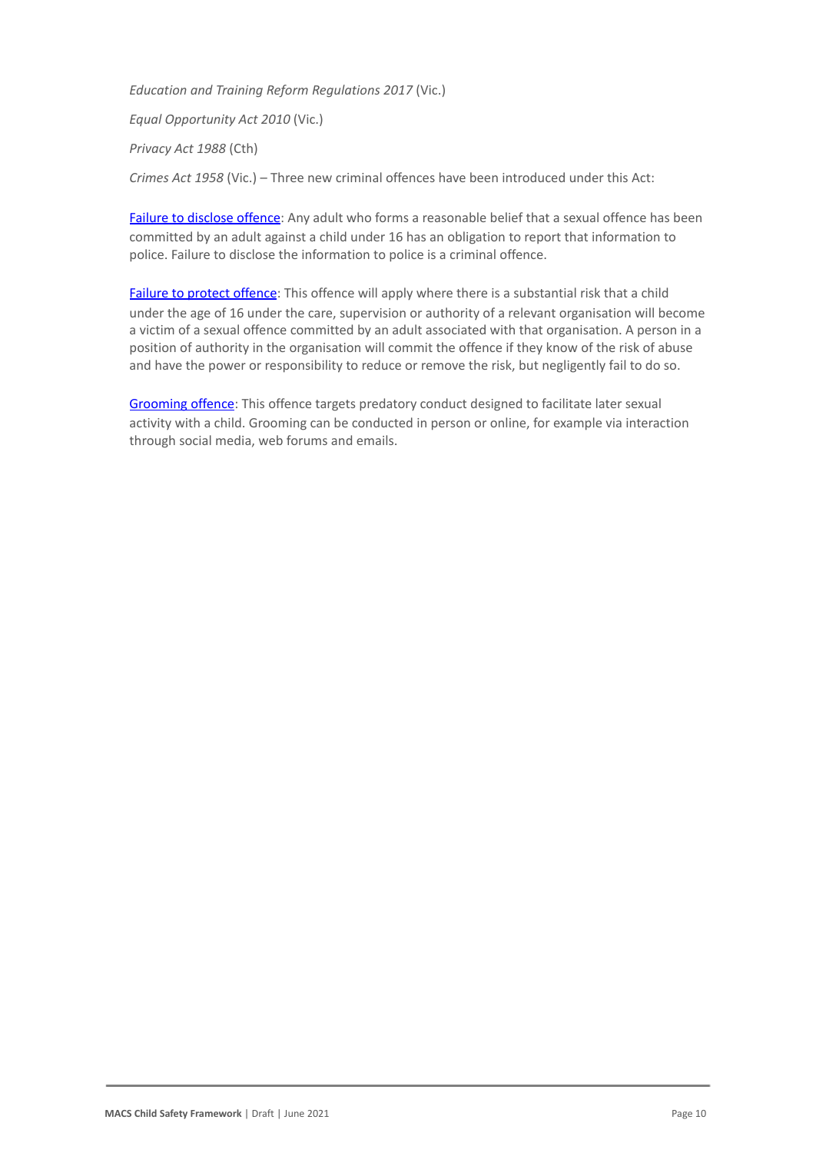● *Education and Training Reform Regulations 2017* (Vic.)

● *Equal Opportunity Act 2010* (Vic.)

● *Privacy Act 1988* (Cth)

● *Crimes Act 1958* (Vic.) – Three new criminal offences have been introduced under this Act:

[Failure to disclose offence](https://www.justice.vic.gov.au/safer-communities/protecting-children-and-families/failure-to-disclose-offence#%3A~%3Atext%3DIn%202014%2C%20the%20law%20in%20Victoria%20was%20changed%2Coffended%20against%20a%20child%20under%2016%20in%20Victoria): Any adult who forms a reasonable belief that a sexual offence has been committed by an adult against a child under 16 has an obligation to report that information to police. Failure to disclose the information to police is a criminal offence.

[Failure to protect offence](https://www.justice.vic.gov.au/safer-communities/protecting-children-and-families/failure-to-protect-a-new-criminal-offence-to#%3A~%3Atext%3DFailure%20to%20protect%3A%20a%20new%20criminal%20offence%20to%2Cfrom%20sexual%20abuse%20and%20exposure%20to%20sexual%20offenders): This offence will apply where there is a substantial risk that a child under the age of 16 under the care, supervision or authority of a relevant organisation will become a victim of a sexual offence committed by an adult associated with that organisation. A person in a position of authority in the organisation will commit the offence if they know of the risk of abuse and have the power or responsibility to reduce or remove the risk, but negligently fail to do so.

[Grooming offence](https://www.justice.vic.gov.au/safer-communities/protecting-children-and-families/grooming-offence): This offence targets predatory conduct designed to facilitate later sexual activity with a child. Grooming can be conducted in person or online, for example via interaction through social media, web forums and emails.